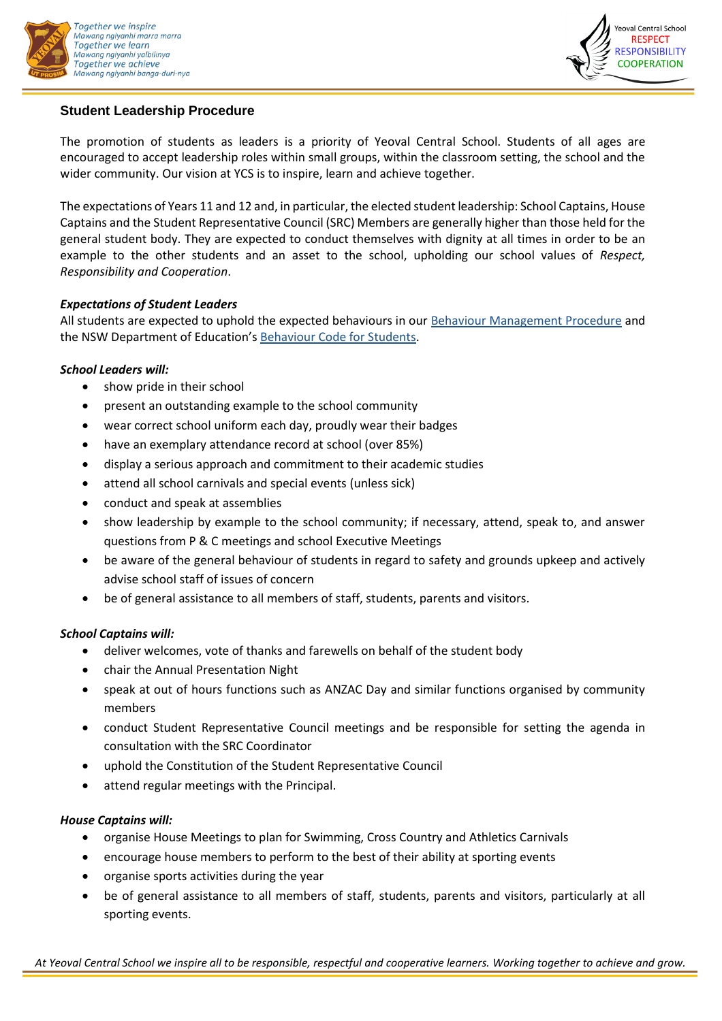



# **Student Leadership Procedure**

The promotion of students as leaders is a priority of Yeoval Central School. Students of all ages are encouraged to accept leadership roles within small groups, within the classroom setting, the school and the wider community. Our vision at YCS is to inspire, learn and achieve together.

The expectations of Years 11 and 12 and, in particular, the elected student leadership: School Captains, House Captains and the Student Representative Council (SRC) Members are generally higher than those held for the general student body. They are expected to conduct themselves with dignity at all times in order to be an example to the other students and an asset to the school, upholding our school values of *Respect, Responsibility and Cooperation*.

# *Expectations of Student Leaders*

All students are expected to uphold the expected behaviours in our [Behaviour Management Procedure](https://yeoval-c.schools.nsw.gov.au/content/dam/doe/sws/schools/y/yeoval-c/school-procedures-/YCS_Behaviour_Management_Procedure.pdf) and the NSW Department of Education's [Behaviour Code for Students.](https://education.nsw.gov.au/student-wellbeing/attendance-behaviour-and-engagement/student-behaviour/behaviour-code)

# *School Leaders will:*

- show pride in their school
- present an outstanding example to the school community
- wear correct school uniform each day, proudly wear their badges
- have an exemplary attendance record at school (over 85%)
- display a serious approach and commitment to their academic studies
- attend all school carnivals and special events (unless sick)
- conduct and speak at assemblies
- show leadership by example to the school community; if necessary, attend, speak to, and answer questions from P & C meetings and school Executive Meetings
- be aware of the general behaviour of students in regard to safety and grounds upkeep and actively advise school staff of issues of concern
- be of general assistance to all members of staff, students, parents and visitors.

### *School Captains will:*

- deliver welcomes, vote of thanks and farewells on behalf of the student body
- chair the Annual Presentation Night
- speak at out of hours functions such as ANZAC Day and similar functions organised by community members
- conduct Student Representative Council meetings and be responsible for setting the agenda in consultation with the SRC Coordinator
- uphold the Constitution of the Student Representative Council
- attend regular meetings with the Principal.

### *House Captains will:*

- organise House Meetings to plan for Swimming, Cross Country and Athletics Carnivals
- encourage house members to perform to the best of their ability at sporting events
- organise sports activities during the year
- be of general assistance to all members of staff, students, parents and visitors, particularly at all sporting events.

*At Yeoval Central School we inspire all to be responsible, respectful and cooperative learners. Working together to achieve and grow.*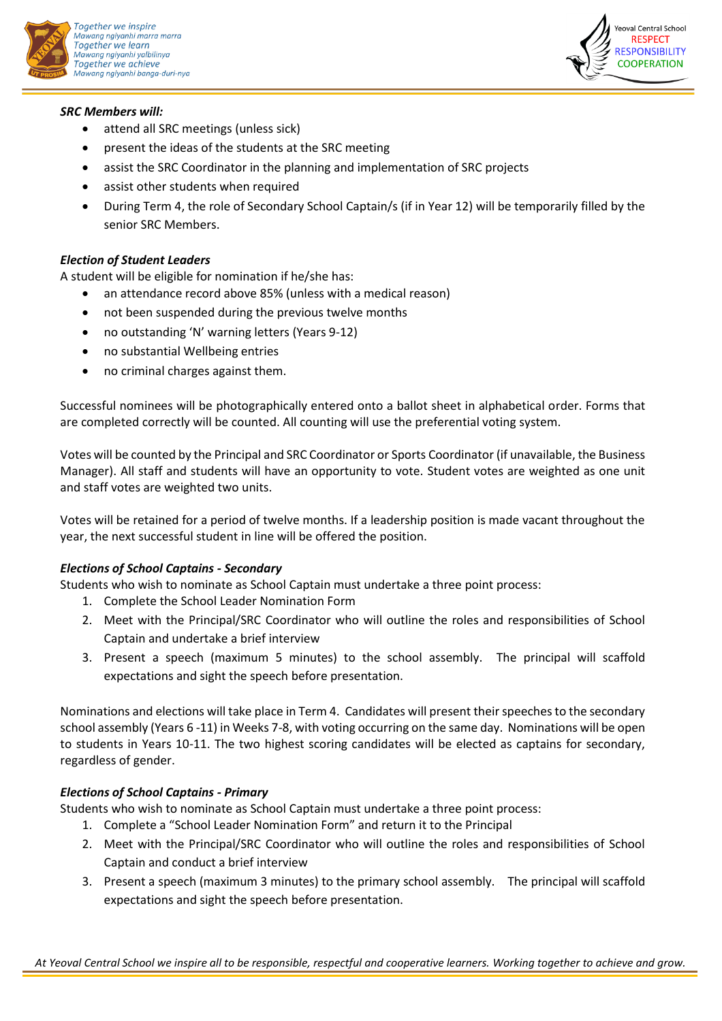



### *SRC Members will:*

- attend all SRC meetings (unless sick)
- present the ideas of the students at the SRC meeting
- assist the SRC Coordinator in the planning and implementation of SRC projects
- assist other students when required
- During Term 4, the role of Secondary School Captain/s (if in Year 12) will be temporarily filled by the senior SRC Members.

# *Election of Student Leaders*

A student will be eligible for nomination if he/she has:

- an attendance record above 85% (unless with a medical reason)
- not been suspended during the previous twelve months
- no outstanding 'N' warning letters (Years 9-12)
- no substantial Wellbeing entries
- no criminal charges against them.

Successful nominees will be photographically entered onto a ballot sheet in alphabetical order. Forms that are completed correctly will be counted. All counting will use the preferential voting system.

Votes will be counted by the Principal and SRC Coordinator or Sports Coordinator (if unavailable, the Business Manager). All staff and students will have an opportunity to vote. Student votes are weighted as one unit and staff votes are weighted two units.

Votes will be retained for a period of twelve months. If a leadership position is made vacant throughout the year, the next successful student in line will be offered the position.

### *Elections of School Captains - Secondary*

Students who wish to nominate as School Captain must undertake a three point process:

- 1. Complete the School Leader Nomination Form
- 2. Meet with the Principal/SRC Coordinator who will outline the roles and responsibilities of School Captain and undertake a brief interview
- 3. Present a speech (maximum 5 minutes) to the school assembly. The principal will scaffold expectations and sight the speech before presentation.

Nominations and elections will take place in Term 4. Candidates will present their speeches to the secondary school assembly (Years 6 -11) in Weeks 7-8, with voting occurring on the same day. Nominations will be open to students in Years 10-11. The two highest scoring candidates will be elected as captains for secondary, regardless of gender.

# *Elections of School Captains - Primary*

Students who wish to nominate as School Captain must undertake a three point process:

- 1. Complete a "School Leader Nomination Form" and return it to the Principal
- 2. Meet with the Principal/SRC Coordinator who will outline the roles and responsibilities of School Captain and conduct a brief interview
- 3. Present a speech (maximum 3 minutes) to the primary school assembly. The principal will scaffold expectations and sight the speech before presentation.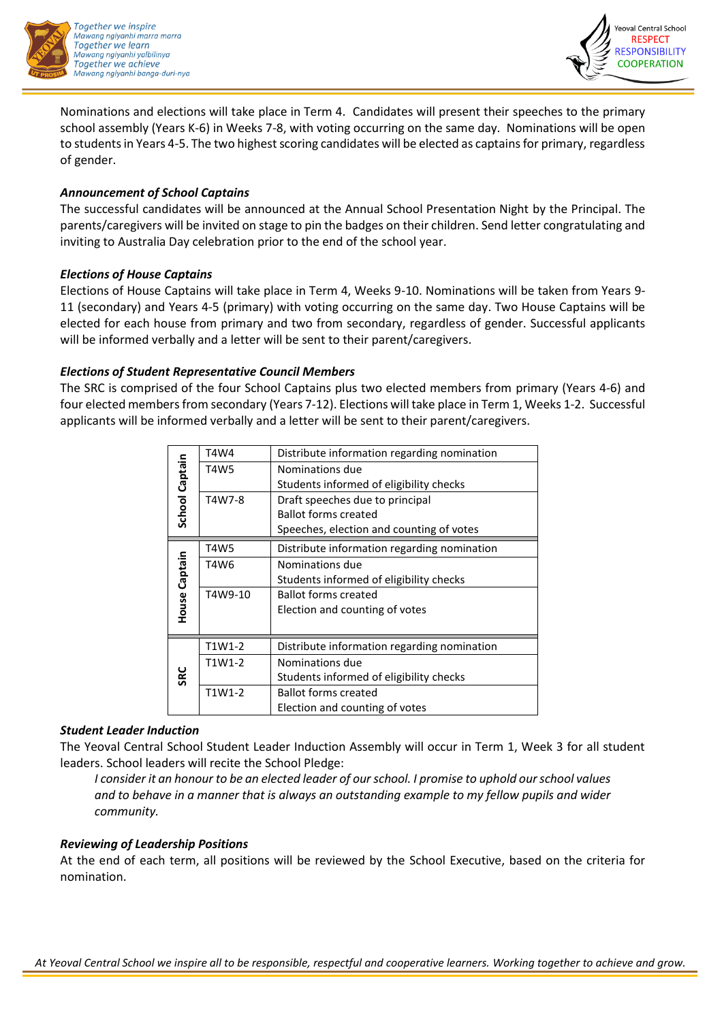



Nominations and elections will take place in Term 4. Candidates will present their speeches to the primary school assembly (Years K-6) in Weeks 7-8, with voting occurring on the same day. Nominations will be open to students in Years 4-5. The two highest scoring candidates will be elected as captains for primary, regardless of gender.

### *Announcement of School Captains*

The successful candidates will be announced at the Annual School Presentation Night by the Principal. The parents/caregivers will be invited on stage to pin the badges on their children. Send letter congratulating and inviting to Australia Day celebration prior to the end of the school year.

# *Elections of House Captains*

Elections of House Captains will take place in Term 4, Weeks 9-10. Nominations will be taken from Years 9- 11 (secondary) and Years 4-5 (primary) with voting occurring on the same day. Two House Captains will be elected for each house from primary and two from secondary, regardless of gender. Successful applicants will be informed verbally and a letter will be sent to their parent/caregivers.

# *Elections of Student Representative Council Members*

The SRC is comprised of the four School Captains plus two elected members from primary (Years 4-6) and four elected members from secondary (Years 7-12). Elections will take place in Term 1, Weeks 1-2. Successful applicants will be informed verbally and a letter will be sent to their parent/caregivers.

| School Captain | T4W4    | Distribute information regarding nomination |  |  |
|----------------|---------|---------------------------------------------|--|--|
|                | T4W5    | Nominations due                             |  |  |
|                |         | Students informed of eligibility checks     |  |  |
|                | T4W7-8  | Draft speeches due to principal             |  |  |
|                |         | <b>Ballot forms created</b>                 |  |  |
|                |         | Speeches, election and counting of votes    |  |  |
| House Captain  | T4W5    | Distribute information regarding nomination |  |  |
|                | T4W6    | Nominations due                             |  |  |
|                |         | Students informed of eligibility checks     |  |  |
|                | T4W9-10 | <b>Ballot forms created</b>                 |  |  |
|                |         | Election and counting of votes              |  |  |
|                |         |                                             |  |  |
| <b>SRC</b>     | T1W1-2  | Distribute information regarding nomination |  |  |
|                | T1W1-2  | Nominations due                             |  |  |
|                |         | Students informed of eligibility checks     |  |  |
|                | T1W1-2  | <b>Ballot forms created</b>                 |  |  |
|                |         | Election and counting of votes              |  |  |

### *Student Leader Induction*

The Yeoval Central School Student Leader Induction Assembly will occur in Term 1, Week 3 for all student leaders. School leaders will recite the School Pledge:

*I consider it an honour to be an elected leader of our school. I promise to uphold our school values and to behave in a manner that is always an outstanding example to my fellow pupils and wider community.*

# *Reviewing of Leadership Positions*

At the end of each term, all positions will be reviewed by the School Executive, based on the criteria for nomination.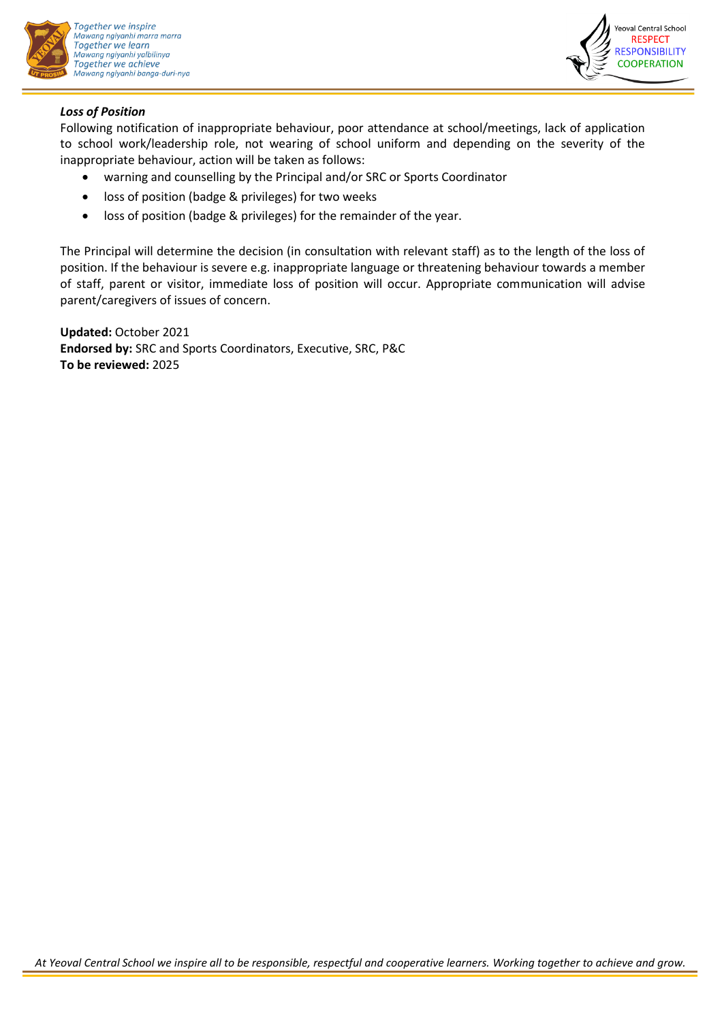



### *Loss of Position*

Following notification of inappropriate behaviour, poor attendance at school/meetings, lack of application to school work/leadership role, not wearing of school uniform and depending on the severity of the inappropriate behaviour, action will be taken as follows:

- warning and counselling by the Principal and/or SRC or Sports Coordinator
- loss of position (badge & privileges) for two weeks
- loss of position (badge & privileges) for the remainder of the year.

The Principal will determine the decision (in consultation with relevant staff) as to the length of the loss of position. If the behaviour is severe e.g. inappropriate language or threatening behaviour towards a member of staff, parent or visitor, immediate loss of position will occur. Appropriate communication will advise parent/caregivers of issues of concern.

**Updated:** October 2021 **Endorsed by:** SRC and Sports Coordinators, Executive, SRC, P&C **To be reviewed:** 2025